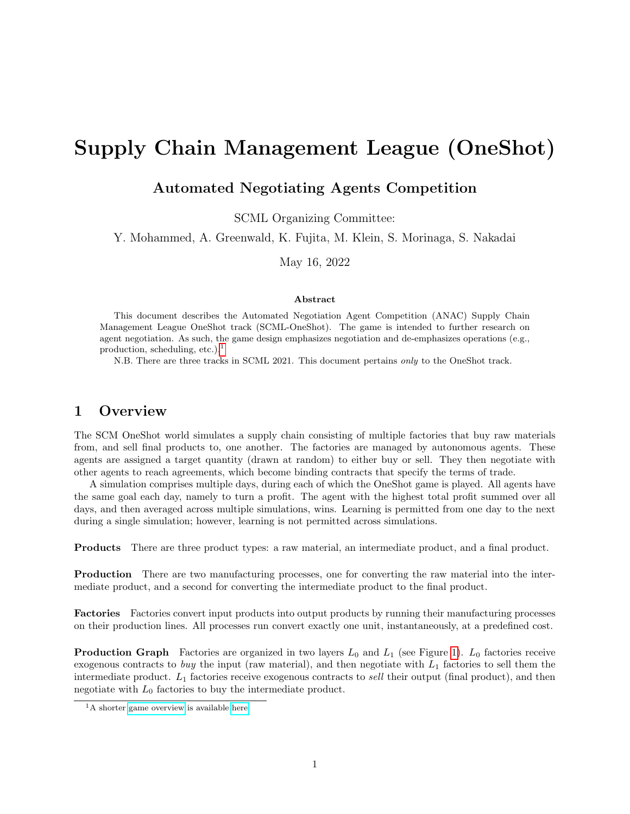# Supply Chain Management League (OneShot)

## Automated Negotiating Agents Competition

SCML Organizing Committee:

Y. Mohammed, A. Greenwald, K. Fujita, M. Klein, S. Morinaga, S. Nakadai

May 16, 2022

#### Abstract

This document describes the Automated Negotiation Agent Competition (ANAC) Supply Chain Management League OneShot track (SCML-OneShot). The game is intended to further research on agent negotiation. As such, the game design emphasizes negotiation and de-emphasizes operations (e.g., production, scheduling, etc.). $<sup>1</sup>$  $<sup>1</sup>$  $<sup>1</sup>$ </sup>

N.B. There are three tracks in SCML 2021. This document pertains only to the OneShot track.

## 1 Overview

The SCM OneShot world simulates a supply chain consisting of multiple factories that buy raw materials from, and sell final products to, one another. The factories are managed by autonomous agents. These agents are assigned a target quantity (drawn at random) to either buy or sell. They then negotiate with other agents to reach agreements, which become binding contracts that specify the terms of trade.

A simulation comprises multiple days, during each of which the OneShot game is played. All agents have the same goal each day, namely to turn a profit. The agent with the highest total profit summed over all days, and then averaged across multiple simulations, wins. Learning is permitted from one day to the next during a single simulation; however, learning is not permitted across simulations.

Products There are three product types: a raw material, an intermediate product, and a final product.

Production There are two manufacturing processes, one for converting the raw material into the intermediate product, and a second for converting the intermediate product to the final product.

Factories Factories convert input products into output products by running their manufacturing processes on their production lines. All processes run convert exactly one unit, instantaneously, at a predefined cost.

**Production Graph** Factories are organized in two layers  $L_0$  and  $L_1$  (see Figure [1\)](#page-1-0).  $L_0$  factories receive exogenous contracts to buy the input (raw material), and then negotiate with  $L_1$  factories to sell them the intermediate product.  $L_1$  factories receive exogenous contracts to sell their output (final product), and then negotiate with  $L_0$  factories to buy the intermediate product.

<span id="page-0-0"></span><sup>&</sup>lt;sup>1</sup>A shorter [game overview](http://www.yasserm.com/scml/overview_oneshot.pdf) is available [here.](http://www.yasserm.com/scml/overview_oneshot.pdf)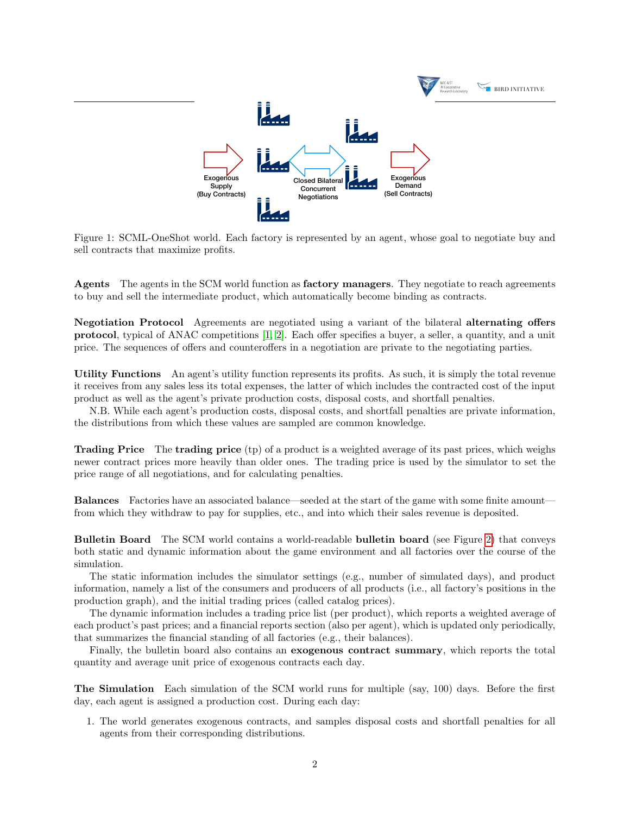<span id="page-1-0"></span>

Figure 1: SCML-OneShot world. Each factory is represented by an agent, whose goal to negotiate buy and sell contracts that maximize profits.

Agents The agents in the SCM world function as **factory managers**. They negotiate to reach agreements to buy and sell the intermediate product, which automatically become binding as contracts.

Negotiation Protocol Agreements are negotiated using a variant of the bilateral alternating offers protocol, typical of ANAC competitions [\[1,](#page-14-0) [2\]](#page-15-0). Each offer specifies a buyer, a seller, a quantity, and a unit price. The sequences of offers and counteroffers in a negotiation are private to the negotiating parties.

Utility Functions An agent's utility function represents its profits. As such, it is simply the total revenue it receives from any sales less its total expenses, the latter of which includes the contracted cost of the input product as well as the agent's private production costs, disposal costs, and shortfall penalties.

N.B. While each agent's production costs, disposal costs, and shortfall penalties are private information, the distributions from which these values are sampled are common knowledge.

Trading Price The trading price (tp) of a product is a weighted average of its past prices, which weighs newer contract prices more heavily than older ones. The trading price is used by the simulator to set the price range of all negotiations, and for calculating penalties.

Balances Factories have an associated balance—seeded at the start of the game with some finite amount from which they withdraw to pay for supplies, etc., and into which their sales revenue is deposited.

Bulletin Board The SCM world contains a world-readable bulletin board (see Figure [2\)](#page-2-0) that conveys both static and dynamic information about the game environment and all factories over the course of the simulation.

The static information includes the simulator settings (e.g., number of simulated days), and product information, namely a list of the consumers and producers of all products (i.e., all factory's positions in the production graph), and the initial trading prices (called catalog prices).

The dynamic information includes a trading price list (per product), which reports a weighted average of each product's past prices; and a financial reports section (also per agent), which is updated only periodically, that summarizes the financial standing of all factories (e.g., their balances).

Finally, the bulletin board also contains an exogenous contract summary, which reports the total quantity and average unit price of exogenous contracts each day.

The Simulation Each simulation of the SCM world runs for multiple (say, 100) days. Before the first day, each agent is assigned a production cost. During each day:

1. The world generates exogenous contracts, and samples disposal costs and shortfall penalties for all agents from their corresponding distributions.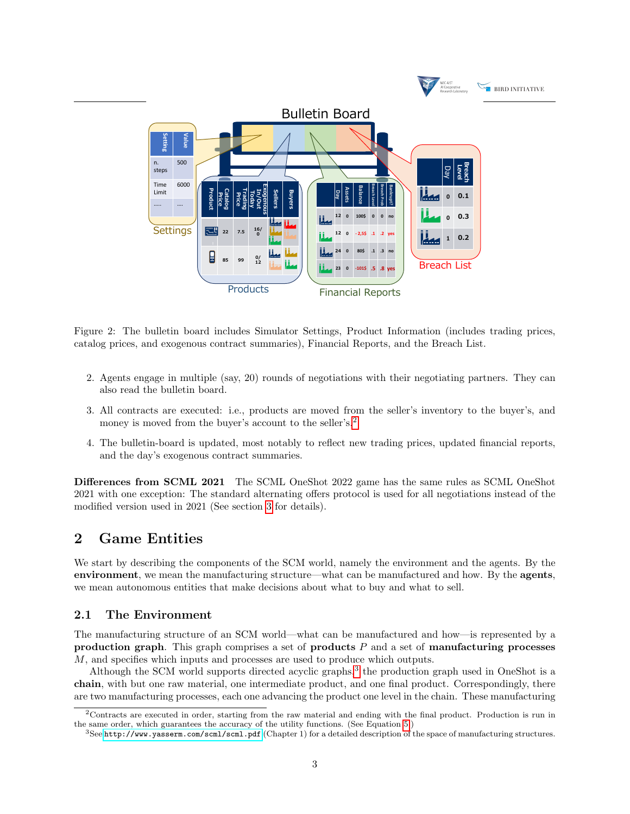<span id="page-2-0"></span>

Figure 2: The bulletin board includes Simulator Settings, Product Information (includes trading prices, catalog prices, and exogenous contract summaries), Financial Reports, and the Breach List.

- 2. Agents engage in multiple (say, 20) rounds of negotiations with their negotiating partners. They can also read the bulletin board.
- 3. All contracts are executed: i.e., products are moved from the seller's inventory to the buyer's, and money is moved from the buyer's account to the seller's.<sup>[2](#page-2-1)</sup>
- 4. The bulletin-board is updated, most notably to reflect new trading prices, updated financial reports, and the day's exogenous contract summaries.

Differences from SCML 2021 The SCML OneShot 2022 game has the same rules as SCML OneShot 2021 with one exception: The standard alternating offers protocol is used for all negotiations instead of the modified version used in 2021 (See section [3](#page-3-0) for details).

## 2 Game Entities

We start by describing the components of the SCM world, namely the environment and the agents. By the environment, we mean the manufacturing structure—what can be manufactured and how. By the agents, we mean autonomous entities that make decisions about what to buy and what to sell.

#### 2.1 The Environment

The manufacturing structure of an SCM world—what can be manufactured and how—is represented by a production graph. This graph comprises a set of products  $P$  and a set of manufacturing processes M, and specifies which inputs and processes are used to produce which outputs.

Although the SCM world supports directed acyclic graphs,<sup>[3](#page-2-2)</sup> the production graph used in OneShot is a chain, with but one raw material, one intermediate product, and one final product. Correspondingly, there are two manufacturing processes, each one advancing the product one level in the chain. These manufacturing

<span id="page-2-1"></span><sup>2</sup>Contracts are executed in order, starting from the raw material and ending with the final product. Production is run in the same order, which guarantees the accuracy of the utility functions. (See Equation [5.](#page-6-0))

<span id="page-2-2"></span><sup>3</sup>See <http://www.yasserm.com/scml/scml.pdf> (Chapter 1) for a detailed description of the space of manufacturing structures.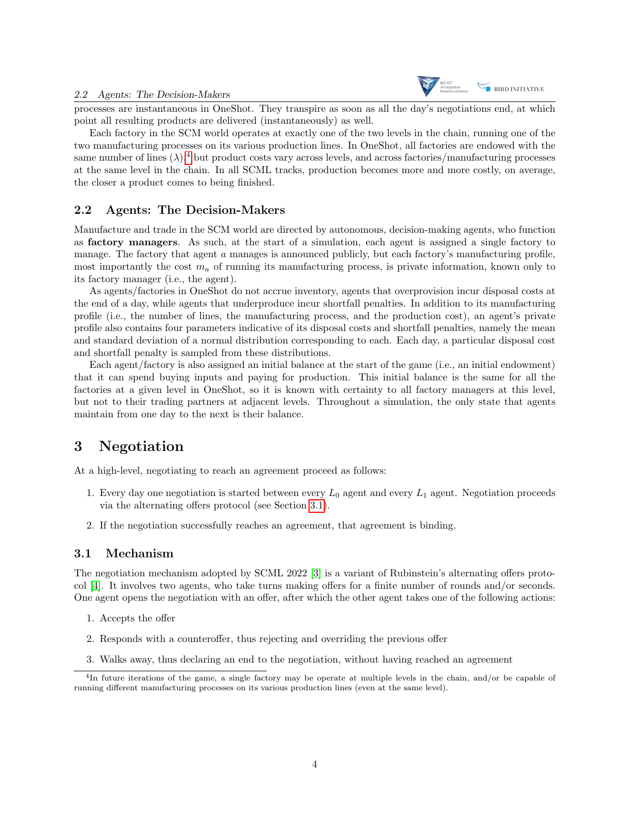

processes are instantaneous in OneShot. They transpire as soon as all the day's negotiations end, at which point all resulting products are delivered (instantaneously) as well.

Each factory in the SCM world operates at exactly one of the two levels in the chain, running one of the two manufacturing processes on its various production lines. In OneShot, all factories are endowed with the same number of lines  $(\lambda)$ ,<sup>[4](#page-3-1)</sup> but product costs vary across levels, and across factories/manufacturing processes at the same level in the chain. In all SCML tracks, production becomes more and more costly, on average, the closer a product comes to being finished.

#### 2.2 Agents: The Decision-Makers

Manufacture and trade in the SCM world are directed by autonomous, decision-making agents, who function as factory managers. As such, at the start of a simulation, each agent is assigned a single factory to manage. The factory that agent a manages is announced publicly, but each factory's manufacturing profile. most importantly the cost  $m_a$  of running its manufacturing process, is private information, known only to its factory manager (i.e., the agent).

As agents/factories in OneShot do not accrue inventory, agents that overprovision incur disposal costs at the end of a day, while agents that underproduce incur shortfall penalties. In addition to its manufacturing profile (i.e., the number of lines, the manufacturing process, and the production cost), an agent's private profile also contains four parameters indicative of its disposal costs and shortfall penalties, namely the mean and standard deviation of a normal distribution corresponding to each. Each day, a particular disposal cost and shortfall penalty is sampled from these distributions.

Each agent/factory is also assigned an initial balance at the start of the game (i.e., an initial endowment) that it can spend buying inputs and paying for production. This initial balance is the same for all the factories at a given level in OneShot, so it is known with certainty to all factory managers at this level, but not to their trading partners at adjacent levels. Throughout a simulation, the only state that agents maintain from one day to the next is their balance.

## <span id="page-3-0"></span>3 Negotiation

At a high-level, negotiating to reach an agreement proceed as follows:

- 1. Every day one negotiation is started between every  $L_0$  agent and every  $L_1$  agent. Negotiation proceeds via the alternating offers protocol (see Section [3.1\)](#page-3-2).
- 2. If the negotiation successfully reaches an agreement, that agreement is binding.

#### <span id="page-3-2"></span>3.1 Mechanism

The negotiation mechanism adopted by SCML 2022 [\[3\]](#page-15-1) is a variant of Rubinstein's alternating offers protocol [\[4\]](#page-15-2). It involves two agents, who take turns making offers for a finite number of rounds and/or seconds. One agent opens the negotiation with an offer, after which the other agent takes one of the following actions:

- 1. Accepts the offer
- 2. Responds with a counteroffer, thus rejecting and overriding the previous offer
- <span id="page-3-1"></span>3. Walks away, thus declaring an end to the negotiation, without having reached an agreement

<sup>4</sup> In future iterations of the game, a single factory may be operate at multiple levels in the chain, and/or be capable of running different manufacturing processes on its various production lines (even at the same level).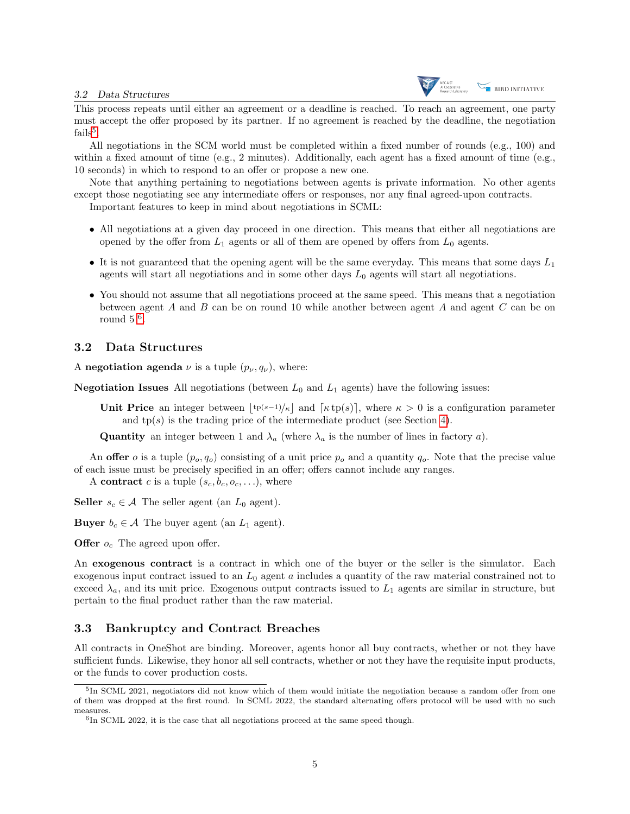

This process repeats until either an agreement or a deadline is reached. To reach an agreement, one party must accept the offer proposed by its partner. If no agreement is reached by the deadline, the negotiation  $\text{fails}^5$  $\text{fails}^5$ .

All negotiations in the SCM world must be completed within a fixed number of rounds (e.g., 100) and within a fixed amount of time (e.g., 2 minutes). Additionally, each agent has a fixed amount of time (e.g., 10 seconds) in which to respond to an offer or propose a new one.

Note that anything pertaining to negotiations between agents is private information. No other agents except those negotiating see any intermediate offers or responses, nor any final agreed-upon contracts.

Important features to keep in mind about negotiations in SCML:

- All negotiations at a given day proceed in one direction. This means that either all negotiations are opened by the offer from  $L_1$  agents or all of them are opened by offers from  $L_0$  agents.
- It is not guaranteed that the opening agent will be the same everyday. This means that some days  $L_1$ agents will start all negotiations and in some other days  $L_0$  agents will start all negotiations.
- You should not assume that all negotiations proceed at the same speed. This means that a negotiation between agent A and B can be on round 10 while another between agent A and agent  $C$  can be on round  $5^{6}$  $5^{6}$  $5^{6}$ .

#### 3.2 Data Structures

A negotiation agenda  $\nu$  is a tuple  $(p_{\nu}, q_{\nu})$ , where:

**Negotiation Issues** All negotiations (between  $L_0$  and  $L_1$  agents) have the following issues:

Unit Price an integer between  $\lfloor t^{p(s-1)/\kappa} \rfloor$  and  $\lceil \kappa t^{p(s)} \rceil$ , where  $\kappa > 0$  is a configuration parameter and  $tp(s)$  is the trading price of the intermediate product (see Section [4\)](#page-5-0).

**Quantity** an integer between 1 and  $\lambda_a$  (where  $\lambda_a$  is the number of lines in factory a).

An offer *o* is a tuple  $(p_o, q_o)$  consisting of a unit price  $p_o$  and a quantity  $q_o$ . Note that the precise value of each issue must be precisely specified in an offer; offers cannot include any ranges.

A contract c is a tuple  $(s_c, b_c, o_c, \ldots)$ , where

**Seller**  $s_c \in \mathcal{A}$  The seller agent (an  $L_0$  agent).

**Buyer**  $b_c \in \mathcal{A}$  The buyer agent (an  $L_1$  agent).

**Offer**  $o_c$  The agreed upon offer.

An exogenous contract is a contract in which one of the buyer or the seller is the simulator. Each exogenous input contract issued to an  $L_0$  agent a includes a quantity of the raw material constrained not to exceed  $\lambda_a$ , and its unit price. Exogenous output contracts issued to  $L_1$  agents are similar in structure, but pertain to the final product rather than the raw material.

#### 3.3 Bankruptcy and Contract Breaches

All contracts in OneShot are binding. Moreover, agents honor all buy contracts, whether or not they have sufficient funds. Likewise, they honor all sell contracts, whether or not they have the requisite input products, or the funds to cover production costs.

<span id="page-4-0"></span><sup>&</sup>lt;sup>5</sup>In SCML 2021, negotiators did not know which of them would initiate the negotiation because a random offer from one of them was dropped at the first round. In SCML 2022, the standard alternating offers protocol will be used with no such measures.

<span id="page-4-1"></span><sup>&</sup>lt;sup>6</sup>In SCML 2022, it is the case that all negotiations proceed at the same speed though.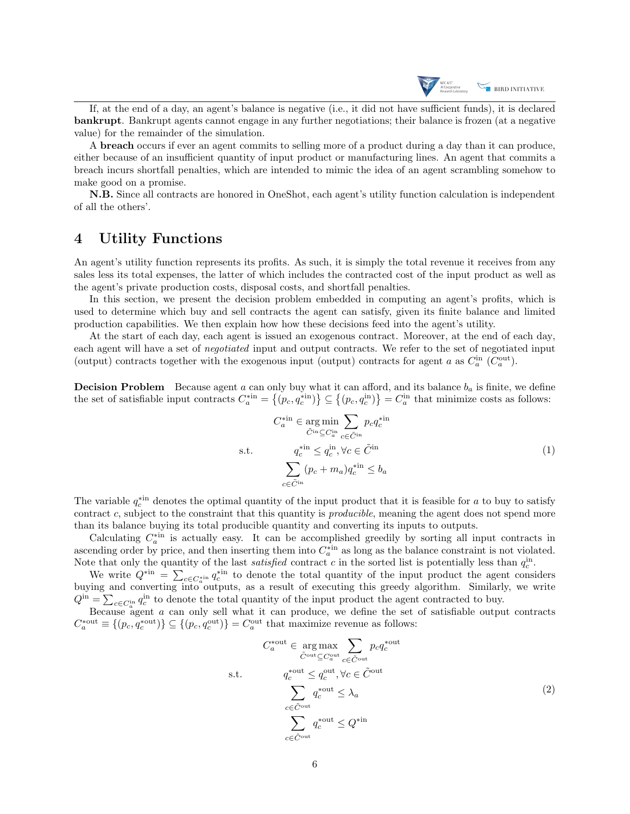

If, at the end of a day, an agent's balance is negative (i.e., it did not have sufficient funds), it is declared bankrupt. Bankrupt agents cannot engage in any further negotiations; their balance is frozen (at a negative value) for the remainder of the simulation.

A breach occurs if ever an agent commits to selling more of a product during a day than it can produce, either because of an insufficient quantity of input product or manufacturing lines. An agent that commits a breach incurs shortfall penalties, which are intended to mimic the idea of an agent scrambling somehow to make good on a promise.

N.B. Since all contracts are honored in OneShot, each agent's utility function calculation is independent of all the others'.

## <span id="page-5-0"></span>4 Utility Functions

An agent's utility function represents its profits. As such, it is simply the total revenue it receives from any sales less its total expenses, the latter of which includes the contracted cost of the input product as well as the agent's private production costs, disposal costs, and shortfall penalties.

In this section, we present the decision problem embedded in computing an agent's profits, which is used to determine which buy and sell contracts the agent can satisfy, given its finite balance and limited production capabilities. We then explain how how these decisions feed into the agent's utility.

At the start of each day, each agent is issued an exogenous contract. Moreover, at the end of each day, each agent will have a set of negotiated input and output contracts. We refer to the set of negotiated input (output) contracts together with the exogenous input (output) contracts for agent a as  $C_a^{\text{in}}$  ( $C_a^{\text{out}}$ ).

**Decision Problem** Because agent a can only buy what it can afford, and its balance  $b_a$  is finite, we define the set of satisfiable input contracts  $C_a^{*in} = \{(p_c, q_c^{*in})\} \subseteq \{(p_c, q_c^{in})\} = C_a^{in}$  that minimize costs as follows:

$$
C_a^{*in} \in \underset{\tilde{C}^{in} \subseteq C_a^{in}}{\arg \min} \sum_{c \in \tilde{C}^{in}} p_c q_c^{*in}
$$
\ns.t.  
\n
$$
q_c^{*in} \le q_c^{in}, \forall c \in \tilde{C}^{in}
$$
\n
$$
\sum_{c \in \tilde{C}^{in}} (p_c + m_a) q_c^{*in} \le b_a
$$
\n(1)

<span id="page-5-1"></span>The variable  $q_c^{*in}$  denotes the optimal quantity of the input product that it is feasible for a to buy to satisfy contract c, subject to the constraint that this quantity is *producible*, meaning the agent does not spend more than its balance buying its total producible quantity and converting its inputs to outputs.

Calculating  $C_a^{*in}$  is actually easy. It can be accomplished greedily by sorting all input contracts in ascending order by price, and then inserting them into  $C_a^*$  as long as the balance constraint is not violated. Note that only the quantity of the last *satisfied* contract c in the sorted list is potentially less than  $q_c^{\text{in}}$ .

We write  $Q^{*in} = \sum_{c \in C_a^{*in}} q_c^{*in}$  to denote the total quantity of the input product the agent considers buying and converting into outputs, as a result of executing this greedy algorithm. Similarly, we write  $Q^{\text{in}} = \sum_{c \in C_a^{\text{in}}} q_c^{\text{in}}$  to denote the total quantity of the input product the agent contracted to buy.

Because agent a can only sell what it can produce, we define the set of satisfiable output contracts  $C_a^*$ <sup>out</sup>  $\equiv \{(p_c, q_c^{\text{out}})\}\subseteq \{(p_c, q_c^{\text{out}})\}=C_a^{\text{out}}$  that maximize revenue as follows:

$$
C_{a}^{*} \in \underset{\tilde{C}^{\text{out}} \subseteq C_{a}^{\text{out}}}{\tilde{C}^{\text{out}} \subseteq C_{a}^{\text{out}}} \sum_{c \in \tilde{C}^{\text{out}}} p_{c} q_{c}^{*} \text{out}
$$
\ns.t. 
$$
q_{c}^{*} \leq q_{c}^{\text{out}}, \forall c \in \tilde{C}^{\text{out}}
$$
\n
$$
\sum_{c \in \tilde{C}^{\text{out}}} q_{c}^{*} \leq \lambda_{a}
$$
\n
$$
\sum_{c \in \tilde{C}^{\text{out}}} q_{c}^{*} \leq Q^{* \text{in}}
$$
\n
$$
(2)
$$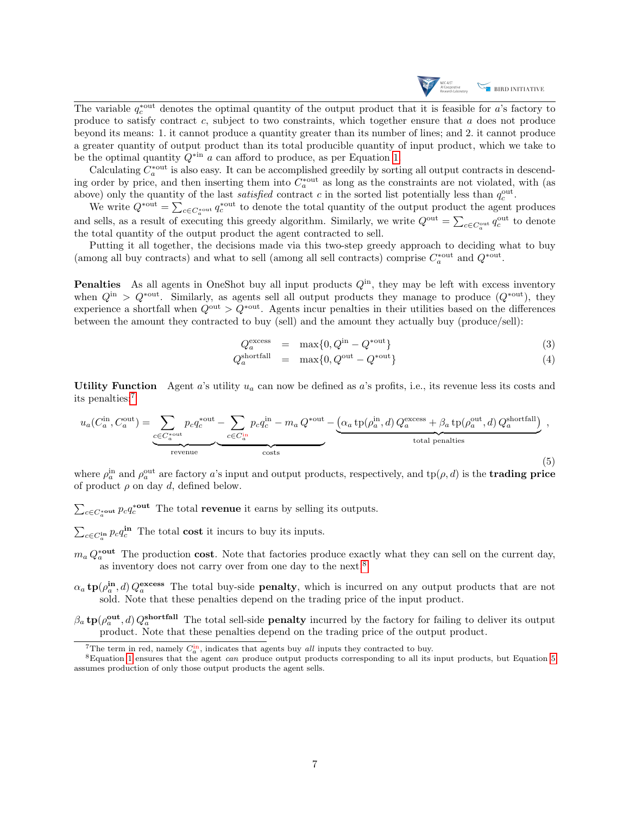

The variable  $q_c^*$  denotes the optimal quantity of the output product that it is feasible for a's factory to produce to satisfy contract  $c$ , subject to two constraints, which together ensure that  $a$  does not produce beyond its means: 1. it cannot produce a quantity greater than its number of lines; and 2. it cannot produce a greater quantity of output product than its total producible quantity of input product, which we take to be the optimal quantity  $Q^{*in}$  a can afford to produce, as per Equation [1.](#page-5-1)

Calculating  $C_a^*$ <sup>out</sup> is also easy. It can be accomplished greedily by sorting all output contracts in descending order by price, and then inserting them into  $C_a^*$  as long as the constraints are not violated, with (as above) only the quantity of the last *satisfied* contract c in the sorted list potentially less than  $q_c^{\text{out}}$ .

We write  $Q^{*}$ <sup>\*out</sup> =  $\sum_{c \in C_o^{*}$ <sup>out</sup> denote the total quantity of the output product the agent produces and sells, as a result of executing this greedy algorithm. Similarly, we write  $Q^{out} = \sum_{c \in C_q^{out}} q_c^{out}$  to denote the total quantity of the output product the agent contracted to sell.

Putting it all together, the decisions made via this two-step greedy approach to deciding what to buy (among all buy contracts) and what to sell (among all sell contracts) comprise  $C_a^*$  and  $Q^{*}$ <sup>out</sup>.

**Penalties** As all agents in OneShot buy all input products  $Q^{in}$ , they may be left with excess inventory when  $Q^{in} > Q^{*out}$ . Similarly, as agents sell all output products they manage to produce  $(Q^{*out})$ , they experience a shortfall when  $Q^{\text{out}} > Q^{* \text{out}}$ . Agents incur penalties in their utilities based on the differences between the amount they contracted to buy (sell) and the amount they actually buy (produce/sell):

$$
Q_a^{\text{excess}} = \max\{0, Q^{\text{in}} - Q^{\text{out}}\}\tag{3}
$$

$$
Q_a^{\text{shortfall}} = \max\{0, Q^{\text{out}} - Q^{\text{out}}\}\tag{4}
$$

Utility Function Agent a's utility  $u_a$  can now be defined as a's profits, i.e., its revenue less its costs and its penalties:[7](#page-6-1)

<span id="page-6-0"></span>
$$
u_a(C_a^{\text{in}}, C_a^{\text{out}}) = \underbrace{\sum_{c \in C_a^{\text{out}}} p_c q_c^{\text{out}} - \sum_{c \in C_a^{\text{in}}} p_c q_c^{\text{in}} - m_a Q^{\text{out}} - \underbrace{(\alpha_a \operatorname{tp}(\rho_a^{\text{in}}, d) Q_a^{\text{excess}} + \beta_a \operatorname{tp}(\rho_a^{\text{out}}, d) Q_a^{\text{shortfall}})}_{\text{total penalties}}}_{\text{total penalties}} \,,\tag{5}
$$

where  $\rho_a^{\text{in}}$  and  $\rho_a^{\text{out}}$  are factory a's input and output products, respectively, and  $tp(\rho, d)$  is the **trading price** of product  $\rho$  on day  $d$ , defined below.

 $\sum_{c \in C_a^*}$ out  $p_c q_c^*$ <sup>out</sup> The total **revenue** it earns by selling its outputs.

 $\sum_{c \in C_a^{\text{in}}} p_c q_c^{\text{in}}$  The total cost it incurs to buy its inputs.

- $m_a Q_a^*$ <sup>out</sup> The production cost. Note that factories produce exactly what they can sell on the current day, as inventory does not carry over from one day to the next.<sup>[8](#page-6-2)</sup>
- $\alpha_a$  tp( $\rho_a^{\text{in}}$ , d)  $Q_a^{\text{excess}}$  The total buy-side **penalty**, which is incurred on any output products that are not sold. Note that these penalties depend on the trading price of the input product.
- $\beta_a$  tp( $\rho_a^{\text{out}}$ , d)  $Q_a^{\text{shortfall}}$  The total sell-side **penalty** incurred by the factory for failing to deliver its output product. Note that these penalties depend on the trading price of the output product.

<span id="page-6-2"></span><span id="page-6-1"></span><sup>&</sup>lt;sup>7</sup>The term in red, namely  $C_a^{\text{in}}$ , indicates that agents buy *all* inputs they contracted to buy.

 ${}^8$ Equation [1](#page-5-1) ensures that the agent *can* produce output products corresponding to all its input products, but Equation [5](#page-6-0) assumes production of only those output products the agent sells.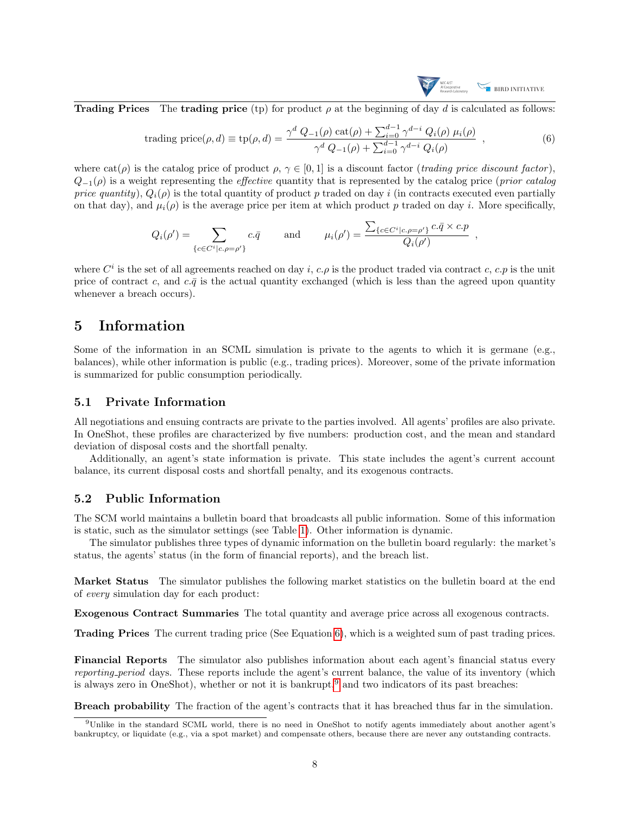

**Trading Prices** The trading price (tp) for product  $\rho$  at the beginning of day d is calculated as follows:

<span id="page-7-0"></span>trading price(
$$
\rho, d
$$
) = tp( $\rho, d$ ) =  $\frac{\gamma^d Q_{-1}(\rho) \cot(\rho) + \sum_{i=0}^{d-1} \gamma^{d-i} Q_i(\rho) \mu_i(\rho)}{\gamma^d Q_{-1}(\rho) + \sum_{i=0}^{d-1} \gamma^{d-i} Q_i(\rho)}$ , (6)

where  $cat(\rho)$  is the catalog price of product  $\rho, \gamma \in [0, 1]$  is a discount factor (*trading price discount factor*),  $Q_{-1}(\rho)$  is a weight representing the *effective* quantity that is represented by the catalog price (*prior catalog*) price quantity),  $Q_i(\rho)$  is the total quantity of product p traded on day i (in contracts executed even partially on that day), and  $\mu_i(\rho)$  is the average price per item at which product p traded on day i. More specifically,

$$
Q_i(\rho') = \sum_{\{c \in C^i | c, \rho = \rho'\}} c.\bar{q} \quad \text{and} \quad \mu_i(\rho') = \frac{\sum_{\{c \in C^i | c, \rho = \rho'\}} c.\bar{q} \times c.p}{Q_i(\rho')} ,
$$

where  $C^i$  is the set of all agreements reached on day i, c.  $\rho$  is the product traded via contract c, c. p is the unit price of contract c, and c. $\bar{q}$  is the actual quantity exchanged (which is less than the agreed upon quantity whenever a breach occurs).

### 5 Information

Some of the information in an SCML simulation is private to the agents to which it is germane (e.g., balances), while other information is public (e.g., trading prices). Moreover, some of the private information is summarized for public consumption periodically.

#### 5.1 Private Information

All negotiations and ensuing contracts are private to the parties involved. All agents' profiles are also private. In OneShot, these profiles are characterized by five numbers: production cost, and the mean and standard deviation of disposal costs and the shortfall penalty.

Additionally, an agent's state information is private. This state includes the agent's current account balance, its current disposal costs and shortfall penalty, and its exogenous contracts.

#### 5.2 Public Information

The SCM world maintains a bulletin board that broadcasts all public information. Some of this information is static, such as the simulator settings (see Table [1\)](#page-11-0). Other information is dynamic.

The simulator publishes three types of dynamic information on the bulletin board regularly: the market's status, the agents' status (in the form of financial reports), and the breach list.

Market Status The simulator publishes the following market statistics on the bulletin board at the end of every simulation day for each product:

Exogenous Contract Summaries The total quantity and average price across all exogenous contracts.

Trading Prices The current trading price (See Equation [6\)](#page-7-0), which is a weighted sum of past trading prices.

Financial Reports The simulator also publishes information about each agent's financial status every reporting period days. These reports include the agent's current balance, the value of its inventory (which is always zero in OneShot), whether or not it is bankrupt,<sup>[9](#page-7-1)</sup> and two indicators of its past breaches:

Breach probability The fraction of the agent's contracts that it has breached thus far in the simulation.

<span id="page-7-1"></span><sup>9</sup>Unlike in the standard SCML world, there is no need in OneShot to notify agents immediately about another agent's bankruptcy, or liquidate (e.g., via a spot market) and compensate others, because there are never any outstanding contracts.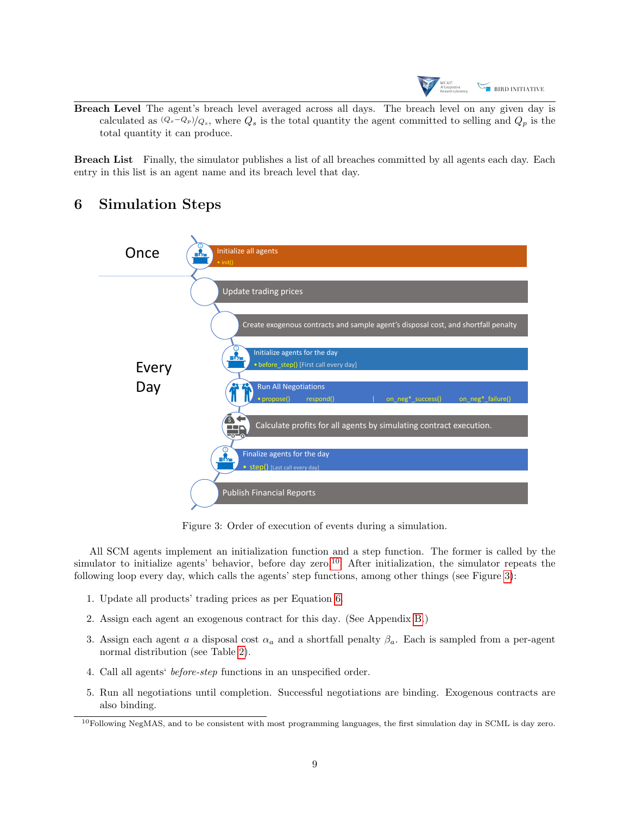

Breach Level The agent's breach level averaged across all days. The breach level on any given day is calculated as  $(Q_s-Q_p)/Q_s$ , where  $Q_s$  is the total quantity the agent committed to selling and  $Q_p$  is the total quantity it can produce.

Breach List Finally, the simulator publishes a list of all breaches committed by all agents each day. Each entry in this list is an agent name and its breach level that day.

## <span id="page-8-2"></span>6 Simulation Steps

<span id="page-8-1"></span>

Figure 3: Order of execution of events during a simulation.

All SCM agents implement an initialization function and a step function. The former is called by the simulator to initialize agents' behavior, before day zero.<sup>[10](#page-8-0)</sup> After initialization, the simulator repeats the following loop every day, which calls the agents' step functions, among other things (see Figure [3\)](#page-8-1):

- 1. Update all products' trading prices as per Equation [6.](#page-7-0)
- 2. Assign each agent an exogenous contract for this day. (See Appendix [B.](#page-11-1))
- 3. Assign each agent a a disposal cost  $\alpha_a$  and a shortfall penalty  $\beta_a$ . Each is sampled from a per-agent normal distribution (see Table [2\)](#page-12-0).
- 4. Call all agents' before-step functions in an unspecified order.
- 5. Run all negotiations until completion. Successful negotiations are binding. Exogenous contracts are also binding.

<span id="page-8-0"></span> $10F$ ollowing NegMAS, and to be consistent with most programming languages, the first simulation day in SCML is day zero.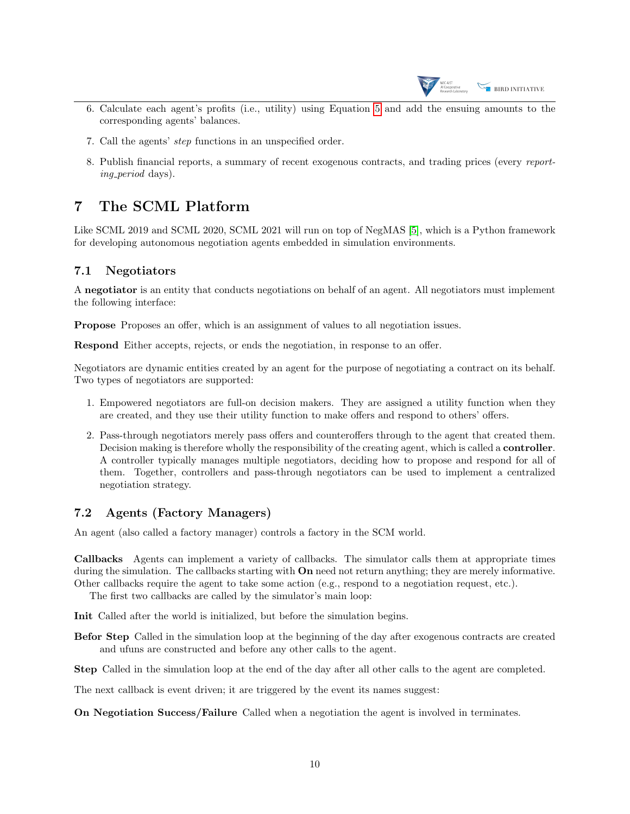

- 6. Calculate each agent's profits (i.e., utility) using Equation [5](#page-6-0) and add the ensuing amounts to the corresponding agents' balances.
- 7. Call the agents' step functions in an unspecified order.
- 8. Publish financial reports, a summary of recent exogenous contracts, and trading prices (every reporting *period* days).

## 7 The SCML Platform

Like SCML 2019 and SCML 2020, SCML 2021 will run on top of NegMAS [\[5\]](#page-15-3), which is a Python framework for developing autonomous negotiation agents embedded in simulation environments.

## 7.1 Negotiators

A negotiator is an entity that conducts negotiations on behalf of an agent. All negotiators must implement the following interface:

Propose Proposes an offer, which is an assignment of values to all negotiation issues.

Respond Either accepts, rejects, or ends the negotiation, in response to an offer.

Negotiators are dynamic entities created by an agent for the purpose of negotiating a contract on its behalf. Two types of negotiators are supported:

- 1. Empowered negotiators are full-on decision makers. They are assigned a utility function when they are created, and they use their utility function to make offers and respond to others' offers.
- 2. Pass-through negotiators merely pass offers and counteroffers through to the agent that created them. Decision making is therefore wholly the responsibility of the creating agent, which is called a **controller**. A controller typically manages multiple negotiators, deciding how to propose and respond for all of them. Together, controllers and pass-through negotiators can be used to implement a centralized negotiation strategy.

## 7.2 Agents (Factory Managers)

An agent (also called a factory manager) controls a factory in the SCM world.

Callbacks Agents can implement a variety of callbacks. The simulator calls them at appropriate times during the simulation. The callbacks starting with **On** need not return anything; they are merely informative. Other callbacks require the agent to take some action (e.g., respond to a negotiation request, etc.).

The first two callbacks are called by the simulator's main loop:

Init Called after the world is initialized, but before the simulation begins.

Befor Step Called in the simulation loop at the beginning of the day after exogenous contracts are created and ufuns are constructed and before any other calls to the agent.

Step Called in the simulation loop at the end of the day after all other calls to the agent are completed.

The next callback is event driven; it are triggered by the event its names suggest:

On Negotiation Success/Failure Called when a negotiation the agent is involved in terminates.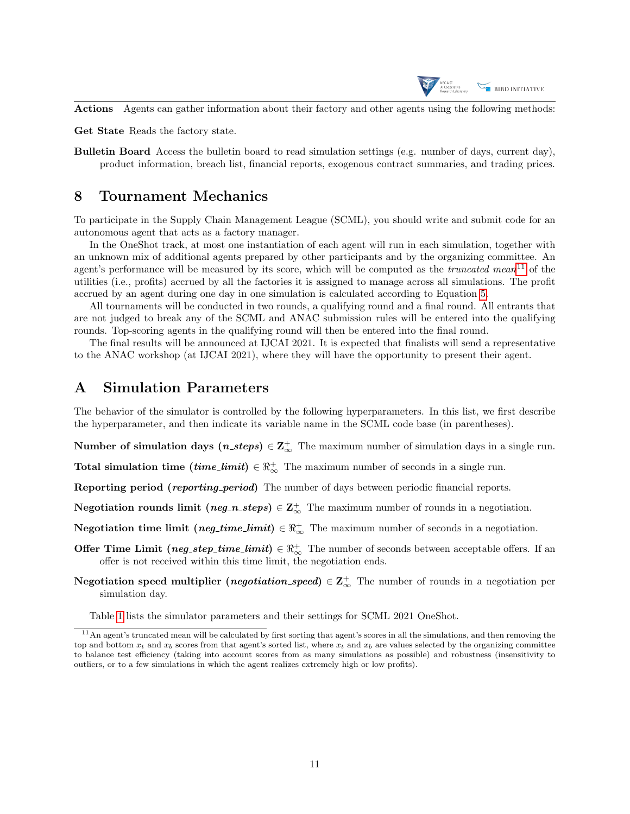

Actions Agents can gather information about their factory and other agents using the following methods:

Get State Reads the factory state.

Bulletin Board Access the bulletin board to read simulation settings (e.g. number of days, current day), product information, breach list, financial reports, exogenous contract summaries, and trading prices.

### 8 Tournament Mechanics

To participate in the Supply Chain Management League (SCML), you should write and submit code for an autonomous agent that acts as a factory manager.

In the OneShot track, at most one instantiation of each agent will run in each simulation, together with an unknown mix of additional agents prepared by other participants and by the organizing committee. An agent's performance will be measured by its score, which will be computed as the *truncated mean*<sup>[11](#page-10-0)</sup> of the utilities (i.e., profits) accrued by all the factories it is assigned to manage across all simulations. The profit accrued by an agent during one day in one simulation is calculated according to Equation [5.](#page-6-0)

All tournaments will be conducted in two rounds, a qualifying round and a final round. All entrants that are not judged to break any of the SCML and ANAC submission rules will be entered into the qualifying rounds. Top-scoring agents in the qualifying round will then be entered into the final round.

The final results will be announced at IJCAI 2021. It is expected that finalists will send a representative to the ANAC workshop (at IJCAI 2021), where they will have the opportunity to present their agent.

## A Simulation Parameters

The behavior of the simulator is controlled by the following hyperparameters. In this list, we first describe the hyperparameter, and then indicate its variable name in the SCML code base (in parentheses).

Number of simulation days  $(n\_steps) \in \mathbb{Z}^+_{\infty}$  The maximum number of simulation days in a single run.

Total simulation time  $(time\_limit) \in \mathbb{R}^+_{\infty}$  The maximum number of seconds in a single run.

Reporting period (reporting period) The number of days between periodic financial reports.

Negotiation rounds limit (neg\_n\_steps)  $\in \mathbb{Z}^+_{\infty}$  The maximum number of rounds in a negotiation.

Negotiation time limit (neg\_time\_limit)  $\in \mathbb{R}^+_\infty$  The maximum number of seconds in a negotiation.

- Offer Time Limit (neg\_step\_time\_limit)  $\in \Re_{\infty}^+$  The number of seconds between acceptable offers. If an offer is not received within this time limit, the negotiation ends.
- Negotiation speed multiplier (negotiation\_speed)  $\in \mathbb{Z}_{\infty}^{+}$  The number of rounds in a negotiation per simulation day.

<span id="page-10-0"></span>Table [1](#page-11-0) lists the simulator parameters and their settings for SCML 2021 OneShot.

 $11$ An agent's truncated mean will be calculated by first sorting that agent's scores in all the simulations, and then removing the top and bottom  $x_t$  and  $x_b$  scores from that agent's sorted list, where  $x_t$  and  $x_b$  are values selected by the organizing committee to balance test efficiency (taking into account scores from as many simulations as possible) and robustness (insensitivity to outliers, or to a few simulations in which the agent realizes extremely high or low profits).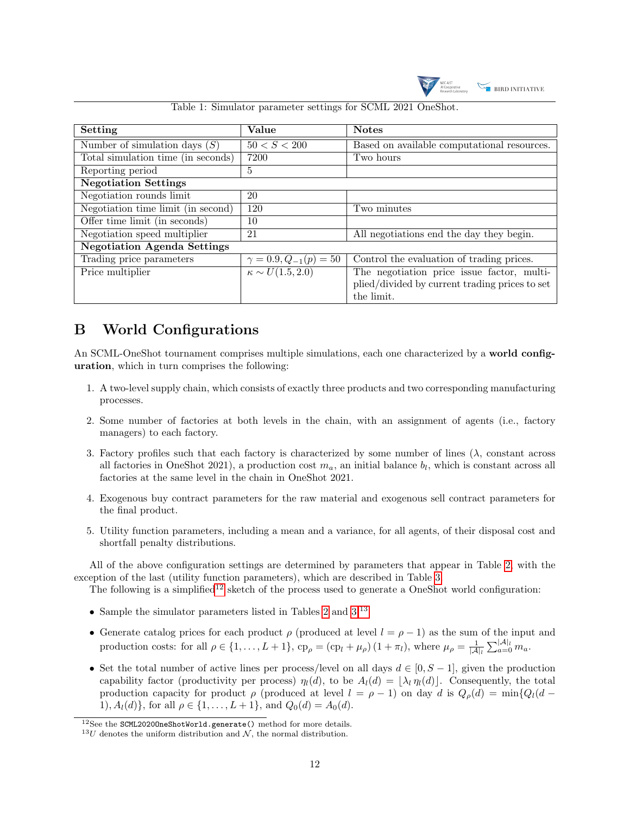

<span id="page-11-0"></span>

| Setting                            | Value                          | <b>Notes</b>                                   |  |  |
|------------------------------------|--------------------------------|------------------------------------------------|--|--|
| Number of simulation days $(S)$    | 50 < S < 200                   | Based on available computational resources.    |  |  |
| Total simulation time (in seconds) | 7200                           | Two hours                                      |  |  |
| Reporting period                   | 5                              |                                                |  |  |
| <b>Negotiation Settings</b>        |                                |                                                |  |  |
| Negotiation rounds limit           | 20                             |                                                |  |  |
| Negotiation time limit (in second) | 120                            | Two minutes                                    |  |  |
| Offer time limit (in seconds)      | 10                             |                                                |  |  |
| Negotiation speed multiplier       | 21                             | All negotiations end the day they begin.       |  |  |
| <b>Negotiation Agenda Settings</b> |                                |                                                |  |  |
| Trading price parameters           | $\gamma = 0.9, Q_{-1}(p) = 50$ | Control the evaluation of trading prices.      |  |  |
| Price multiplier                   | $\kappa \sim U(1.5, 2.0)$      | The negotiation price issue factor, multi-     |  |  |
|                                    |                                | plied/divided by current trading prices to set |  |  |
|                                    |                                | the limit.                                     |  |  |

Table 1: Simulator parameter settings for SCML 2021 OneShot.

## <span id="page-11-1"></span>B World Configurations

An SCML-OneShot tournament comprises multiple simulations, each one characterized by a world configuration, which in turn comprises the following:

- 1. A two-level supply chain, which consists of exactly three products and two corresponding manufacturing processes.
- 2. Some number of factories at both levels in the chain, with an assignment of agents (i.e., factory managers) to each factory.
- 3. Factory profiles such that each factory is characterized by some number of lines  $(\lambda)$ , constant across all factories in OneShot 2021), a production cost  $m_a$ , an initial balance  $b_l$ , which is constant across all factories at the same level in the chain in OneShot 2021.
- 4. Exogenous buy contract parameters for the raw material and exogenous sell contract parameters for the final product.
- 5. Utility function parameters, including a mean and a variance, for all agents, of their disposal cost and shortfall penalty distributions.

All of the above configuration settings are determined by parameters that appear in Table [2,](#page-12-0) with the exception of the last (utility function parameters), which are described in Table [3.](#page-13-0)

The following is a simplified<sup>[12](#page-11-2)</sup> sketch of the process used to generate a OneShot world configuration:

- Sample the simulator parameters listed in Tables [2](#page-12-0) and [3.](#page-13-0)[13](#page-11-3)
- Generate catalog prices for each product  $\rho$  (produced at level  $l = \rho 1$ ) as the sum of the input and production costs: for all  $\rho \in \{1, \ldots, L+1\}$ ,  $cp_{\rho} = (cp_l + \mu_{\rho}) (1 + \pi_l)$ , where  $\mu_{\rho} = \frac{1}{|\mathcal{A}|_l} \sum_{a=0}^{|\mathcal{A}|_l} m_a$ .
- Set the total number of active lines per process/level on all days  $d \in [0, S 1]$ , given the production capability factor (productivity per process)  $\eta_l(d)$ , to be  $A_l(d) = |\lambda_l \eta_l(d)|$ . Consequently, the total production capacity for product  $\rho$  (produced at level  $l = \rho - 1$ ) on day d is  $Q_{\rho}(d) = \min\{Q_l(d -$ 1),  $A_l(d)$ , for all  $\rho \in \{1, ..., L+1\}$ , and  $Q_0(d) = A_0(d)$ .

<span id="page-11-2"></span><sup>12</sup>See the SCML2020OneShotWorld.generate() method for more details.

<span id="page-11-3"></span> $^{13}U$  denotes the uniform distribution and  $\mathcal{N},$  the normal distribution.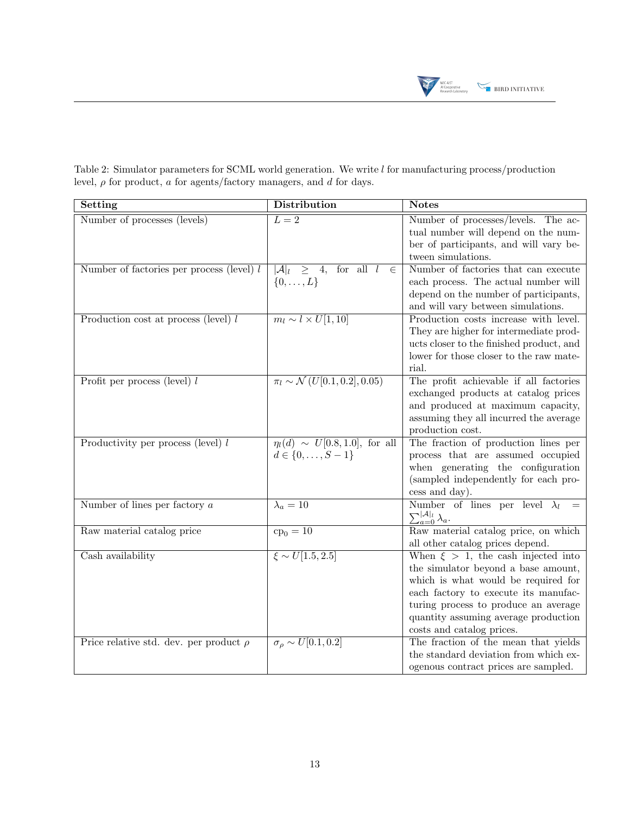

<span id="page-12-0"></span>Table 2: Simulator parameters for SCML world generation. We write l for manufacturing process/production level,  $\rho$  for product,  $a$  for agents/factory managers, and  $d$  for days.

| Setting                                     | <b>Distribution</b>                                    | <b>Notes</b>                                            |
|---------------------------------------------|--------------------------------------------------------|---------------------------------------------------------|
| Number of processes (levels)                | $\overline{L=2}$                                       | Number of processes/levels. The ac-                     |
|                                             |                                                        | tual number will depend on the num-                     |
|                                             |                                                        | ber of participants, and will vary be-                  |
|                                             |                                                        | tween simulations.                                      |
| Number of factories per process (level) $l$ | for all $l$<br>$ \mathcal{A} _l$<br>$\geq 4,$<br>$\in$ | Number of factories that can execute                    |
|                                             | $\{0,\ldots,L\}$                                       | each process. The actual number will                    |
|                                             |                                                        | depend on the number of participants,                   |
|                                             |                                                        | and will vary between simulations.                      |
| Production cost at process (level) $l$      | $m_l \sim l \times U[1, 10]$                           | Production costs increase with level.                   |
|                                             |                                                        | They are higher for intermediate prod-                  |
|                                             |                                                        | ucts closer to the finished product, and                |
|                                             |                                                        | lower for those closer to the raw mate-                 |
|                                             |                                                        | rial.                                                   |
| Profit per process (level) $l$              | $\pi_l \sim \mathcal{N}(U[0.1, 0.2], 0.05)$            | The profit achievable if all factories                  |
|                                             |                                                        | exchanged products at catalog prices                    |
|                                             |                                                        | and produced at maximum capacity,                       |
|                                             |                                                        | assuming they all incurred the average                  |
|                                             |                                                        | production cost.                                        |
| Productivity per process (level) $l$        | $\eta_l(d) \sim U[0.8, 1.0],$ for all                  | The fraction of production lines per                    |
|                                             | $d \in \{0, \ldots, S-1\}$                             | process that are assumed occupied                       |
|                                             |                                                        | when generating the configuration                       |
|                                             |                                                        | (sampled independently for each pro-                    |
|                                             |                                                        | cess and day).<br>Number of lines per level $\lambda_l$ |
| Number of lines per factory $a$             | $\lambda_a=10$                                         |                                                         |
|                                             |                                                        | $\sum_{a=0}^{ \mathcal{A} _l} \lambda_a.$               |
| Raw material catalog price                  | $c_{p_0} = 10$                                         | Raw material catalog price, on which                    |
|                                             |                                                        | all other catalog prices depend.                        |
| Cash availability                           | $\xi \sim U[1.5, 2.5]$                                 | When $\xi > 1$ , the cash injected into                 |
|                                             |                                                        | the simulator beyond a base amount,                     |
|                                             |                                                        | which is what would be required for                     |
|                                             |                                                        | each factory to execute its manufac-                    |
|                                             |                                                        | turing process to produce an average                    |
|                                             |                                                        | quantity assuming average production                    |
|                                             |                                                        | costs and catalog prices.                               |
| Price relative std. dev. per product $\rho$ | $\sigma_{\rho} \sim U[0.1, 0.2]$                       | The fraction of the mean that yields                    |
|                                             |                                                        | the standard deviation from which ex-                   |
|                                             |                                                        | ogenous contract prices are sampled.                    |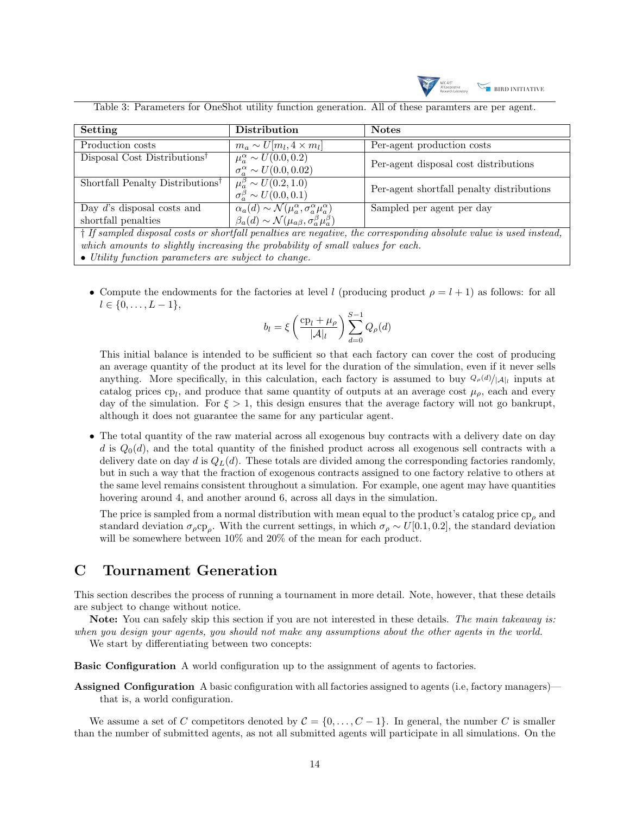

<span id="page-13-0"></span>

|  | Table 3: Parameters for OneShot utility function generation. All of these paramters are per agent. |  |  |
|--|----------------------------------------------------------------------------------------------------|--|--|
|  |                                                                                                    |  |  |

| Setting                                                                                                                    | Distribution                                                                    | <b>Notes</b>                              |  |  |
|----------------------------------------------------------------------------------------------------------------------------|---------------------------------------------------------------------------------|-------------------------------------------|--|--|
| Production costs                                                                                                           | $m_a \sim U[m_l, 4 \times m_l]$                                                 | Per-agent production costs                |  |  |
| Disposal Cost Distributions <sup>†</sup>                                                                                   | $\mu_{a}^{\alpha} \sim U(0.0, 0.2)$                                             | Per-agent disposal cost distributions     |  |  |
|                                                                                                                            | $\sigma_a^{\alpha} \sim U(0.0, 0.02)$                                           |                                           |  |  |
| Shortfall Penalty Distributions <sup>†</sup>                                                                               | $\mu_a^{\beta} \sim \overline{U(0.2, 1.0)}$                                     | Per-agent shortfall penalty distributions |  |  |
|                                                                                                                            | $\sigma_a^{\beta} \sim U(0.0, 0.1)$                                             |                                           |  |  |
| Day $d$ 's disposal costs and                                                                                              | $\alpha_a(d) \sim \mathcal{N}(\mu_a^{\alpha}, \sigma_a^{\alpha}\mu_a^{\alpha})$ | Sampled per agent per day                 |  |  |
| shortfall penalties                                                                                                        | $\beta_a(d) \sim \mathcal{N}(\mu_{a\beta}, \sigma^{\beta}_{a} \mu^{\beta}_{a})$ |                                           |  |  |
| $\dagger$ If sampled disposal costs or shortfall penalties are negative, the corresponding absolute value is used instead, |                                                                                 |                                           |  |  |
| which amounts to slightly increasing the probability of small values for each.                                             |                                                                                 |                                           |  |  |

• Compute the endowments for the factories at level l (producing product  $\rho = l + 1$ ) as follows: for all  $l \in \{0, \ldots, L-1\},\$ 

$$
b_l = \xi \left(\frac{cp_l + \mu_\rho}{|\mathcal{A}|_l}\right) \sum_{d=0}^{S-1} Q_\rho(d)
$$

This initial balance is intended to be sufficient so that each factory can cover the cost of producing an average quantity of the product at its level for the duration of the simulation, even if it never sells anything. More specifically, in this calculation, each factory is assumed to buy  $\mathcal{Q}_{\rho}(d)/|\mathcal{A}|_l$  inputs at catalog prices cp<sub>l</sub>, and produce that same quantity of outputs at an average cost  $\mu_{\rho}$ , each and every day of the simulation. For  $\xi > 1$ , this design ensures that the average factory will not go bankrupt, although it does not guarantee the same for any particular agent.

• The total quantity of the raw material across all exogenous buy contracts with a delivery date on day d is  $Q_0(d)$ , and the total quantity of the finished product across all exogenous sell contracts with a delivery date on day d is  $Q_L(d)$ . These totals are divided among the corresponding factories randomly, but in such a way that the fraction of exogenous contracts assigned to one factory relative to others at the same level remains consistent throughout a simulation. For example, one agent may have quantities hovering around 4, and another around 6, across all days in the simulation.

The price is sampled from a normal distribution with mean equal to the product's catalog price  $cp<sub>o</sub>$  and standard deviation  $\sigma_\rho c_{\rho\rho}$ . With the current settings, in which  $\sigma_\rho \sim U[0.1, 0.2]$ , the standard deviation will be somewhere between  $10\%$  and  $20\%$  of the mean for each product.

## C Tournament Generation

• Utility function parameters are subject to change.

This section describes the process of running a tournament in more detail. Note, however, that these details are subject to change without notice.

Note: You can safely skip this section if you are not interested in these details. The main takeaway is: when you design your agents, you should not make any assumptions about the other agents in the world.

We start by differentiating between two concepts:

Basic Configuration A world configuration up to the assignment of agents to factories.

Assigned Configuration A basic configuration with all factories assigned to agents (i.e, factory managers) that is, a world configuration.

We assume a set of C competitors denoted by  $C = \{0, \ldots, C-1\}$ . In general, the number C is smaller than the number of submitted agents, as not all submitted agents will participate in all simulations. On the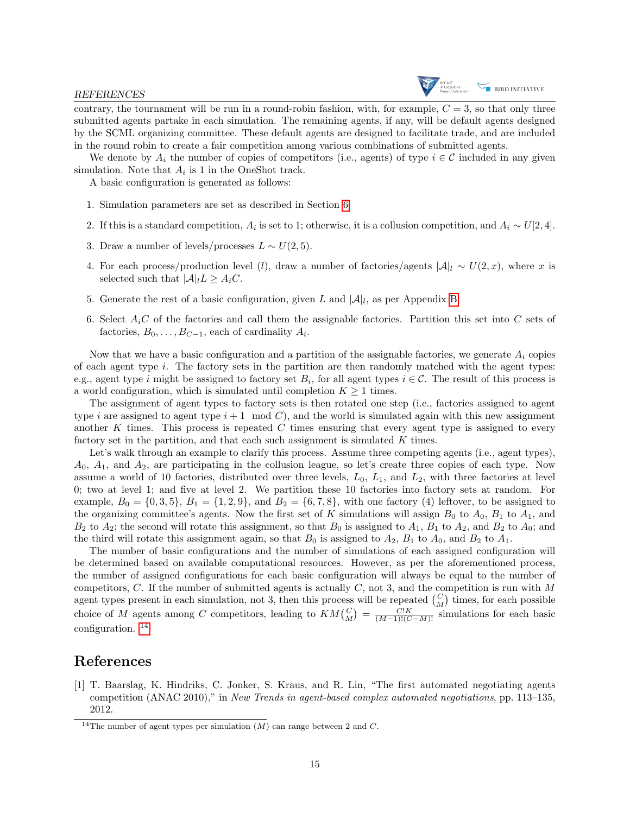contrary, the tournament will be run in a round-robin fashion, with, for example,  $C = 3$ , so that only three submitted agents partake in each simulation. The remaining agents, if any, will be default agents designed by the SCML organizing committee. These default agents are designed to facilitate trade, and are included in the round robin to create a fair competition among various combinations of submitted agents.

We denote by  $A_i$  the number of copies of competitors (i.e., agents) of type  $i \in \mathcal{C}$  included in any given simulation. Note that  $A_i$  is 1 in the OneShot track.

A basic configuration is generated as follows:

- 1. Simulation parameters are set as described in Section [6.](#page-8-2)
- 2. If this is a standard competition,  $A_i$  is set to 1; otherwise, it is a collusion competition, and  $A_i \sim U[2, 4]$ .
- 3. Draw a number of levels/processes  $L \sim U(2, 5)$ .
- 4. For each process/production level (l), draw a number of factories/agents  $|\mathcal{A}|_l \sim U(2,x)$ , where x is selected such that  $|A|_l L \geq A_i C$ .
- 5. Generate the rest of a basic configuration, given L and  $|\mathcal{A}|_l$ , as per Appendix [B.](#page-11-1)
- 6. Select  $A_iC$  of the factories and call them the assignable factories. Partition this set into C sets of factories,  $B_0, \ldots, B_{C-1}$ , each of cardinality  $A_i$ .

Now that we have a basic configuration and a partition of the assignable factories, we generate  $A_i$  copies of each agent type  $i$ . The factory sets in the partition are then randomly matched with the agent types: e.g., agent type i might be assigned to factory set  $B_i$ , for all agent types  $i \in \mathcal{C}$ . The result of this process is a world configuration, which is simulated until completion  $K \geq 1$  times.

The assignment of agent types to factory sets is then rotated one step (i.e., factories assigned to agent type i are assigned to agent type  $i+1 \mod C$ , and the world is simulated again with this new assignment another K times. This process is repeated  $C$  times ensuring that every agent type is assigned to every factory set in the partition, and that each such assignment is simulated  $K$  times.

Let's walk through an example to clarify this process. Assume three competing agents (i.e., agent types),  $A_0$ ,  $A_1$ , and  $A_2$ , are participating in the collusion league, so let's create three copies of each type. Now assume a world of 10 factories, distributed over three levels,  $L_0$ ,  $L_1$ , and  $L_2$ , with three factories at level 0; two at level 1; and five at level 2. We partition these 10 factories into factory sets at random. For example,  $B_0 = \{0, 3, 5\}, B_1 = \{1, 2, 9\}, \text{ and } B_2 = \{6, 7, 8\}, \text{ with one factory (4) leftover, to be assigned to }$ the organizing committee's agents. Now the first set of K simulations will assign  $B_0$  to  $A_0$ ,  $B_1$  to  $A_1$ , and  $B_2$  to  $A_2$ ; the second will rotate this assignment, so that  $B_0$  is assigned to  $A_1$ ,  $B_1$  to  $A_2$ , and  $B_2$  to  $A_0$ ; and the third will rotate this assignment again, so that  $B_0$  is assigned to  $A_2$ ,  $B_1$  to  $A_0$ , and  $B_2$  to  $A_1$ .

The number of basic configurations and the number of simulations of each assigned configuration will be determined based on available computational resources. However, as per the aforementioned process, the number of assigned configurations for each basic configuration will always be equal to the number of competitors,  $C$ . If the number of submitted agents is actually  $C$ , not 3, and the competition is run with  $M$ agent types present in each simulation, not 3, then this process will be repeated  $\binom{C}{M}$  times, for each possible choice of M agents among C competitors, leading to  $KM\binom{C}{M} = \frac{C!K}{(M-1)!(C-M)!}$  simulations for each basic configuration. [14](#page-14-1)

## References

<span id="page-14-0"></span>[1] T. Baarslag, K. Hindriks, C. Jonker, S. Kraus, and R. Lin, "The first automated negotiating agents competition (ANAC 2010)," in New Trends in agent-based complex automated negotiations, pp. 113–135, 2012.

<span id="page-14-1"></span><sup>&</sup>lt;sup>14</sup>The number of agent types per simulation  $(M)$  can range between 2 and C.